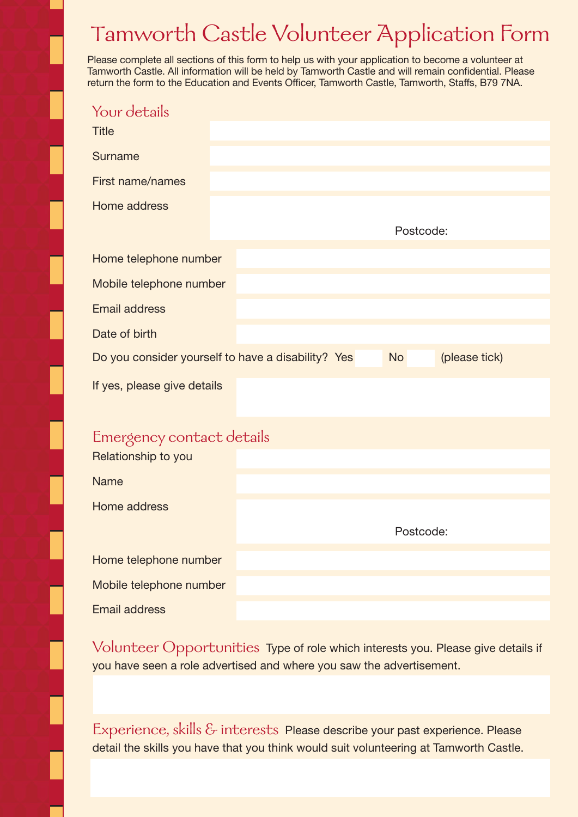## Tamworth Castle Volunteer Application Form

Please complete all sections of this form to help us with your application to become a volunteer at Tamworth Castle. All information will be held by Tamworth Castle and will remain confidential. Please return the form to the Education and Events Officer, Tamworth Castle, Tamworth, Staffs, B79 7NA.

| Your details                |                                                                                  |  |  |  |  |  |
|-----------------------------|----------------------------------------------------------------------------------|--|--|--|--|--|
| <b>Title</b>                |                                                                                  |  |  |  |  |  |
| Surname                     |                                                                                  |  |  |  |  |  |
| First name/names            |                                                                                  |  |  |  |  |  |
| Home address                |                                                                                  |  |  |  |  |  |
|                             | Postcode:                                                                        |  |  |  |  |  |
| Home telephone number       |                                                                                  |  |  |  |  |  |
| Mobile telephone number     |                                                                                  |  |  |  |  |  |
| <b>Email address</b>        |                                                                                  |  |  |  |  |  |
| Date of birth               |                                                                                  |  |  |  |  |  |
|                             | Do you consider yourself to have a disability? Yes<br>(please tick)<br><b>No</b> |  |  |  |  |  |
| If yes, please give details |                                                                                  |  |  |  |  |  |
|                             |                                                                                  |  |  |  |  |  |
| Emergency contact details   |                                                                                  |  |  |  |  |  |
| Relationship to you         |                                                                                  |  |  |  |  |  |
| <b>Name</b>                 |                                                                                  |  |  |  |  |  |
| Home address                |                                                                                  |  |  |  |  |  |
|                             | Postcode:                                                                        |  |  |  |  |  |
| Home telephone number       |                                                                                  |  |  |  |  |  |
| Mobile telephone number     |                                                                                  |  |  |  |  |  |
| <b>Email address</b>        |                                                                                  |  |  |  |  |  |

Volunteer Opportunities Type of role which interests you. Please give details if you have seen a role advertised and where you saw the advertisement.

Experience, skills & interests Please describe your past experience. Please detail the skills you have that you think would suit volunteering at Tamworth Castle.